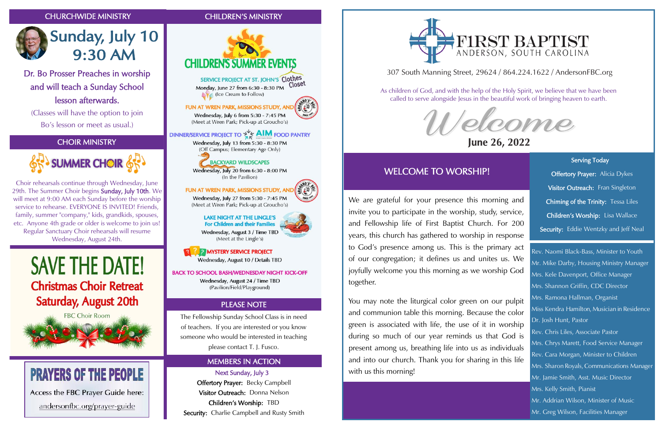Visitor Outreach: Donna Nelson Children's Worship: TBD Security: Charlie Campbell and Rusty Smith

# FIRST BAPTIST

## CHOIR MINISTRY



## CHURCHWIDE MINISTRY CHILDREN'S MINISTRY





# **Sunday, July 10 9:30 AM**





Choir rehearsals continue through Wednesday, June 29th. The Summer Choir begins Sunday, July 10th. We will meet at 9:00 AM each Sunday before the worship service to rehearse. EVERYONE IS INVITED! Friends. family, summer "company," kids, grandkids, spouses, etc. Anyone 4th grade or older is welcome to join us! Regular Sanctuary Choir rehearsals will resume Wednesday, August 24th.

# **SAVE THE DATE! Christmas Choir Retreat** Saturday, August 20th



# **PRAYERS OF THE PEOPLE**

Access the FBC Prayer Guide here:

andersonfbc.org/prayer-guide

Serving Today **Offertory Prayer:** Alicia Dykes Visitor Outreach: Fran Singleton Chiming of the Trinity: Tessa Liles Children's Worship: Lisa Wallace Security: Eddie Wentzky and Jeff Neal

ł

Dr. Bo Prosser Preaches in worship and will teach a Sunday School lesson afterwards.

(Classes will have the option to join Bo's lesson or meet as usual.)

## 307 South Manning Street, 29624 / 864.224.1622 / AndersonFBC.org



## June 26, 2022

As children of God, and with the help of the Holy Spirit, we believe that we have been called to serve alongside Jesus in the beautiful work of bringing heaven to earth.

## WELCOME TO WORSHIP!

Rev. Naomi Black-Bass, Minister to Youth Mr. Mike Darby, Housing Ministry Manager Mrs. Kele Davenport, Office Manager Mrs. Shannon Griffin, CDC Director Mrs. Ramona Hallman, Organist Miss Kendra Hamilton, Musician in Residence Dr. Josh Hunt, Pastor Rev. Chris Liles, Associate Pastor Mrs. Chrys Marett, Food Service Manager Rev. Cara Morgan, Minister to Children Mrs. Sharon Royals, Communications Manager Mr. Jamie Smith, Asst. Music Director Mrs. Kelly Smith, Pianist Mr. Addrian Wilson, Minister of Music Mr. Greg Wilson, Facilities Manager

We are grateful for your presence this morning and invite you to participate in the worship, study, service, and Fellowship life of First Baptist Church. For 200 years, this church has gathered to worship in response to God's presence among us. This is the primary act of our congregation; it defines us and unites us. We joyfully welcome you this morning as we worship God together.

You may note the liturgical color green on our pulpit and communion table this morning. Because the color green is associated with life, the use of it in worship during so much of our year reminds us that God is present among us, breathing life into us as individuals and into our church. Thank you for sharing in this life with us this morning!